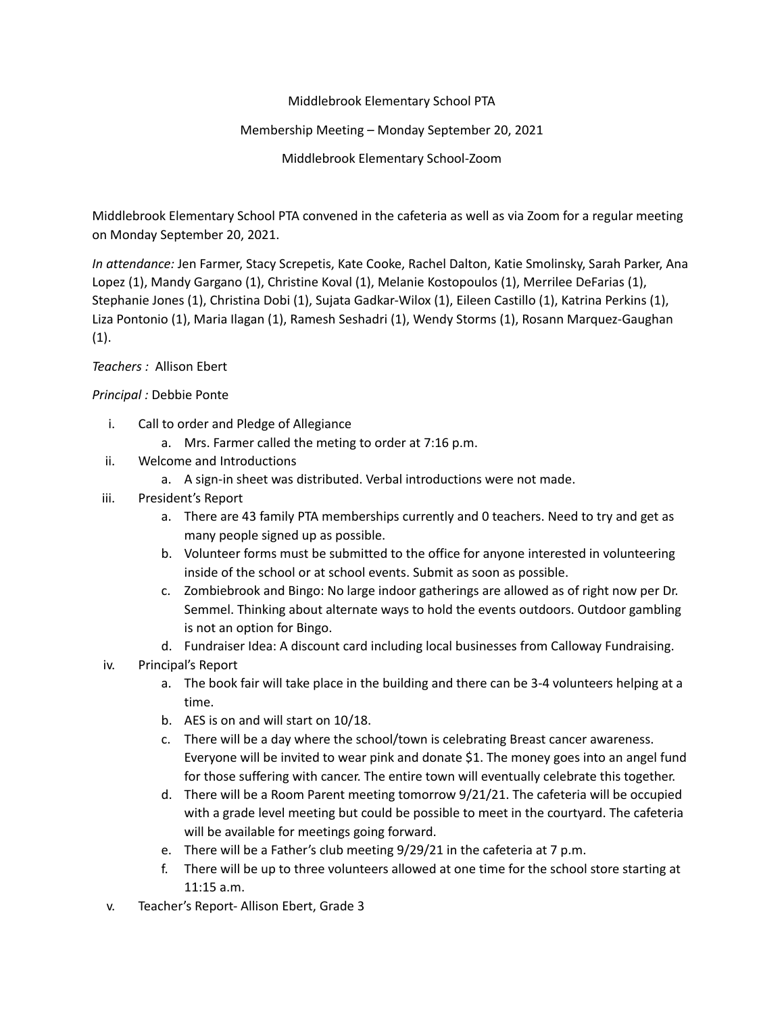## Middlebrook Elementary School PTA

## Membership Meeting – Monday September 20, 2021

Middlebrook Elementary School-Zoom

Middlebrook Elementary School PTA convened in the cafeteria as well as via Zoom for a regular meeting on Monday September 20, 2021.

*In attendance:* Jen Farmer, Stacy Screpetis, Kate Cooke, Rachel Dalton, Katie Smolinsky, Sarah Parker, Ana Lopez (1), Mandy Gargano (1), Christine Koval (1), Melanie Kostopoulos (1), Merrilee DeFarias (1), Stephanie Jones (1), Christina Dobi (1), Sujata Gadkar-Wilox (1), Eileen Castillo (1), Katrina Perkins (1), Liza Pontonio (1), Maria Ilagan (1), Ramesh Seshadri (1), Wendy Storms (1), Rosann Marquez-Gaughan (1).

## *Teachers :* Allison Ebert

## *Principal :* Debbie Ponte

- i. Call to order and Pledge of Allegiance
	- a. Mrs. Farmer called the meting to order at 7:16 p.m.
- ii. Welcome and Introductions
	- a. A sign-in sheet was distributed. Verbal introductions were not made.
- iii. President's Report
	- a. There are 43 family PTA memberships currently and 0 teachers. Need to try and get as many people signed up as possible.
	- b. Volunteer forms must be submitted to the office for anyone interested in volunteering inside of the school or at school events. Submit as soon as possible.
	- c. Zombiebrook and Bingo: No large indoor gatherings are allowed as of right now per Dr. Semmel. Thinking about alternate ways to hold the events outdoors. Outdoor gambling is not an option for Bingo.
	- d. Fundraiser Idea: A discount card including local businesses from Calloway Fundraising.
- iv. Principal's Report
	- a. The book fair will take place in the building and there can be 3-4 volunteers helping at a time.
	- b. AES is on and will start on 10/18.
	- c. There will be a day where the school/town is celebrating Breast cancer awareness. Everyone will be invited to wear pink and donate \$1. The money goes into an angel fund for those suffering with cancer. The entire town will eventually celebrate this together.
	- d. There will be a Room Parent meeting tomorrow 9/21/21. The cafeteria will be occupied with a grade level meeting but could be possible to meet in the courtyard. The cafeteria will be available for meetings going forward.
	- e. There will be a Father's club meeting 9/29/21 in the cafeteria at 7 p.m.
	- f. There will be up to three volunteers allowed at one time for the school store starting at 11:15 a.m.
- v. Teacher's Report- Allison Ebert, Grade 3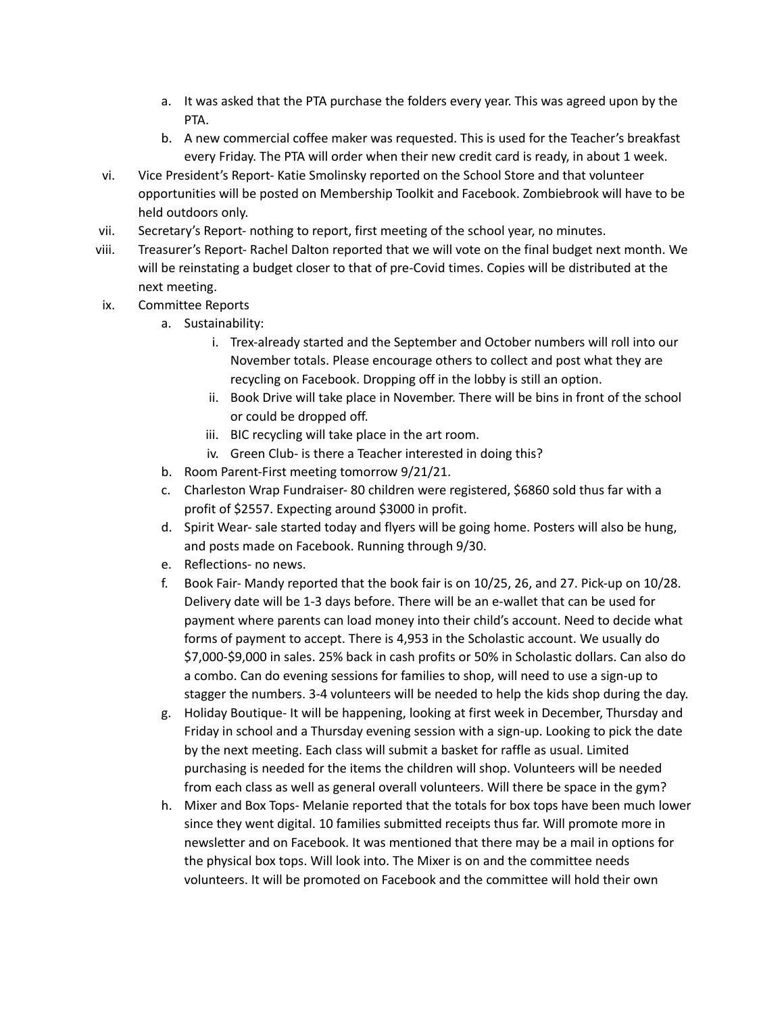- a. It was asked that the PTA purchase the folders every year. This was agreed upon by the PTA.
- b. A new commercial coffee maker was requested. This is used for the Teacher's breakfast every Friday. The PTA will order when their new credit card is ready, in about 1 week.
- vi. Vice President's Report- Katie Smolinsky reported on the School Store and that volunteer opportunities will be posted on Membership Toolkit and Facebook. Zombiebrook will have to be held outdoors only.
- vii. Secretary's Report- nothing to report, first meeting of the school year, no minutes.
- viii. Treasurer's Report- Rachel Dalton reported that we will vote on the final budget next month. We will be reinstating a budget closer to that of pre-Covid times. Copies will be distributed at the next meeting.
- ix. Committee Reports
	- a. Sustainability:
		- i. Trex-already started and the September and October numbers will roll into our November totals. Please encourage others to collect and post what they are recycling on Facebook. Dropping off in the lobby is still an option.
		- ii. Book Drive will take place in November. There will be bins in front of the school or could be dropped off.
		- iii. BIC recycling will take place in the art room.
		- iv. Green Club- is there a Teacher interested in doing this?
	- b. Room Parent-First meeting tomorrow 9/21/21.
	- c. Charleston Wrap Fundraiser- 80 children were registered, \$6860 sold thus far with a profit of \$2557. Expecting around \$3000 in profit.
	- d. Spirit Wear- sale started today and flyers will be going home. Posters will also be hung, and posts made on Facebook. Running through 9/30.
	- e. Reflections- no news.
	- f. Book Fair- Mandy reported that the book fair is on 10/25, 26, and 27. Pick-up on 10/28. Delivery date will be 1-3 days before. There will be an e-wallet that can be used for payment where parents can load money into their child's account. Need to decide what forms of payment to accept. There is 4,953 in the Scholastic account. We usually do \$7,000-\$9,000 in sales. 25% back in cash profits or 50% in Scholastic dollars. Can also do a combo. Can do evening sessions for families to shop, will need to use a sign-up to stagger the numbers. 3-4 volunteers will be needed to help the kids shop during the day.
	- g. Holiday Boutique- It will be happening, looking at first week in December, Thursday and Friday in school and a Thursday evening session with a sign-up. Looking to pick the date by the next meeting. Each class will submit a basket for raffle as usual. Limited purchasing is needed for the items the children will shop. Volunteers will be needed from each class as well as general overall volunteers. Will there be space in the gym?
	- h. Mixer and Box Tops- Melanie reported that the totals for box tops have been much lower since they went digital. 10 families submitted receipts thus far. Will promote more in newsletter and on Facebook. It was mentioned that there may be a mail in options for the physical box tops. Will look into. The Mixer is on and the committee needs volunteers. It will be promoted on Facebook and the committee will hold their own